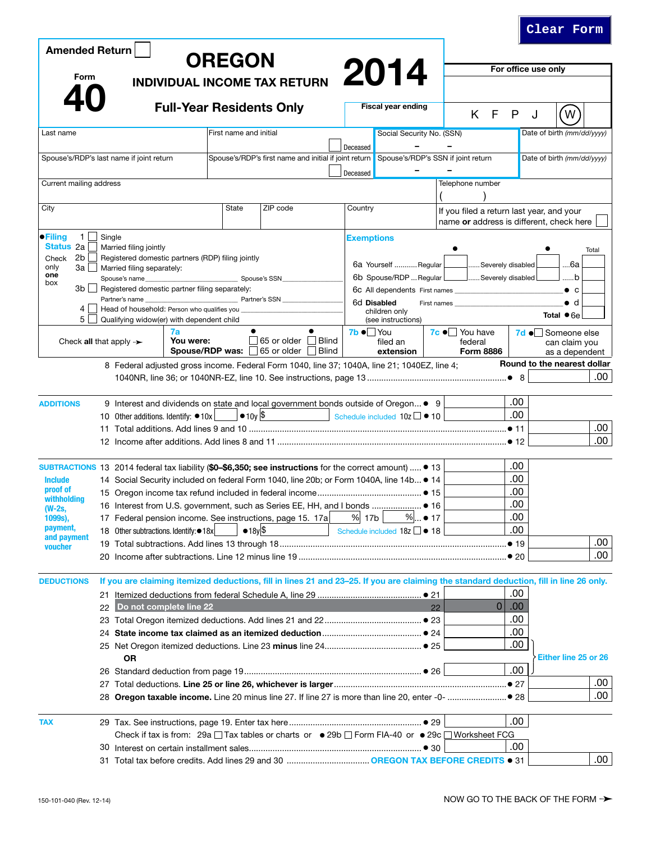| <b>Amended Return</b>                                                                                          |                                                                 |                                                                                              |                          |                        |                                                   |                     |                           |                                                                         |                                                                                                                                        |                             |                   |                   |                |      |                                 |                             |       |  |
|----------------------------------------------------------------------------------------------------------------|-----------------------------------------------------------------|----------------------------------------------------------------------------------------------|--------------------------|------------------------|---------------------------------------------------|---------------------|---------------------------|-------------------------------------------------------------------------|----------------------------------------------------------------------------------------------------------------------------------------|-----------------------------|-------------------|-------------------|----------------|------|---------------------------------|-----------------------------|-------|--|
| <b>OREGON</b><br>Form<br><b>INDIVIDUAL INCOME TAX RETURN</b>                                                   |                                                                 |                                                                                              |                          |                        |                                                   |                     |                           | 2014                                                                    |                                                                                                                                        |                             |                   |                   |                |      | For office use only             |                             |       |  |
|                                                                                                                |                                                                 |                                                                                              |                          |                        |                                                   |                     |                           |                                                                         |                                                                                                                                        |                             |                   |                   |                |      |                                 |                             |       |  |
| <b>Full-Year Residents Only</b>                                                                                |                                                                 |                                                                                              |                          |                        |                                                   |                     | <b>Fiscal year ending</b> |                                                                         |                                                                                                                                        |                             | K F               | P                 | J              | W    |                                 |                             |       |  |
| Last name                                                                                                      |                                                                 |                                                                                              |                          | First name and initial |                                                   |                     |                           |                                                                         | Social Security No. (SSN)                                                                                                              |                             |                   |                   |                |      |                                 | Date of birth (mm/dd/yyyy)  |       |  |
|                                                                                                                |                                                                 |                                                                                              |                          |                        |                                                   |                     |                           | Deceased                                                                |                                                                                                                                        |                             |                   |                   |                |      |                                 |                             |       |  |
| Spouse's/RDP's last name if joint return                                                                       |                                                                 |                                                                                              |                          |                        |                                                   |                     |                           |                                                                         | Spouse's/RDP's first name and initial if joint return Spouse's/RDP's SSN if joint return                                               |                             |                   |                   |                |      |                                 | Date of birth (mm/dd/yyyy)  |       |  |
| Current mailing address                                                                                        |                                                                 |                                                                                              |                          |                        |                                                   |                     |                           | Deceased                                                                |                                                                                                                                        |                             | Telephone number  |                   |                |      |                                 |                             |       |  |
|                                                                                                                |                                                                 |                                                                                              |                          |                        |                                                   |                     |                           |                                                                         |                                                                                                                                        |                             |                   |                   |                |      |                                 |                             |       |  |
| City                                                                                                           |                                                                 |                                                                                              | <b>State</b><br>ZIP code |                        |                                                   | Country             |                           |                                                                         |                                                                                                                                        |                             |                   |                   |                |      |                                 |                             |       |  |
|                                                                                                                |                                                                 |                                                                                              |                          |                        |                                                   |                     |                           |                                                                         | If you filed a return last year, and your<br>name or address is different, check here                                                  |                             |                   |                   |                |      |                                 |                             |       |  |
| $\bullet$ Filing<br>1                                                                                          | Single                                                          |                                                                                              |                          |                        |                                                   |                     |                           | <b>Exemptions</b>                                                       |                                                                                                                                        |                             |                   |                   |                |      |                                 |                             |       |  |
| Status 2a                                                                                                      |                                                                 | Married filing jointly                                                                       |                          |                        |                                                   |                     |                           |                                                                         |                                                                                                                                        |                             |                   |                   |                |      |                                 |                             | Total |  |
| 2b<br>Check<br>only<br>3a l                                                                                    |                                                                 | Married filing separately:                                                                   |                          |                        | Registered domestic partners (RDP) filing jointly |                     |                           |                                                                         | 6a Yourself  Regular                                                                                                                   |                             |                   | Severely disabled |                |      |                                 | 6а                          |       |  |
| one<br>Spouse's name<br>box                                                                                    |                                                                 |                                                                                              | Spouse's SSN             |                        |                                                   |                     |                           | 6b Spouse/RDP  Regular L<br>6d Disabled<br>First names<br>children only |                                                                                                                                        |                             | Severely disabled |                   |                |      | b                               |                             |       |  |
| 3b l                                                                                                           | Registered domestic partner filing separately:<br>$\mathcal{L}$ |                                                                                              |                          |                        |                                                   |                     |                           |                                                                         |                                                                                                                                        |                             |                   |                   |                |      | $\bullet$ c                     |                             |       |  |
| Partner's name<br>Head of household: Person who qualifies you<br>4                                             |                                                                 |                                                                                              |                          | Partner's SSN          |                                                   |                     |                           |                                                                         |                                                                                                                                        |                             |                   |                   |                |      |                                 | $\bullet$ d                 |       |  |
| 5 <sup>1</sup><br>Qualifying widow(er) with dependent child                                                    |                                                                 |                                                                                              |                          |                        |                                                   |                     |                           | (see instructions)                                                      |                                                                                                                                        |                             |                   |                   |                |      | Total $\bullet$ 6e              |                             |       |  |
|                                                                                                                |                                                                 |                                                                                              | 7a<br>You were:          |                        |                                                   | 65 or older □ Blind |                           | $7b \bullet$ You                                                        |                                                                                                                                        |                             | 7c ● You have     |                   |                |      |                                 | 7d • Someone else           |       |  |
| Check all that apply $\rightarrow$                                                                             |                                                                 |                                                                                              | Spouse/RDP was:          |                        | 65 or older Blind                                 |                     |                           | filed an<br>extension                                                   |                                                                                                                                        | federal<br><b>Form 8886</b> |                   |                   |                |      | can claim you<br>as a dependent |                             |       |  |
|                                                                                                                |                                                                 |                                                                                              |                          |                        |                                                   |                     |                           |                                                                         | 8 Federal adjusted gross income. Federal Form 1040, line 37; 1040A, line 21; 1040EZ, line 4;                                           |                             |                   |                   |                |      |                                 | Round to the nearest dollar |       |  |
|                                                                                                                |                                                                 |                                                                                              |                          |                        |                                                   |                     |                           |                                                                         |                                                                                                                                        |                             |                   |                   |                |      |                                 |                             | .00   |  |
|                                                                                                                |                                                                 |                                                                                              |                          |                        |                                                   |                     |                           |                                                                         |                                                                                                                                        |                             |                   |                   |                |      |                                 |                             |       |  |
| <b>ADDITIONS</b>                                                                                               |                                                                 |                                                                                              |                          |                        |                                                   |                     |                           |                                                                         | 9 Interest and dividends on state and local government bonds outside of Oregon • 9                                                     |                             |                   |                   |                | .00  |                                 |                             |       |  |
|                                                                                                                |                                                                 | $\bullet$ 10y \$<br>Schedule included 10z <b>0</b> 10<br>10 Other additions. Identify: ● 10x |                          |                        |                                                   |                     |                           |                                                                         |                                                                                                                                        |                             |                   |                   |                | .00  |                                 |                             |       |  |
|                                                                                                                |                                                                 |                                                                                              |                          |                        |                                                   |                     |                           |                                                                         |                                                                                                                                        |                             |                   |                   |                |      |                                 |                             | .00   |  |
|                                                                                                                |                                                                 |                                                                                              |                          |                        |                                                   |                     |                           |                                                                         |                                                                                                                                        |                             |                   |                   |                |      |                                 |                             | .00   |  |
| SUBTRACTIONS 13 2014 federal tax liability (\$0-\$6,350; see instructions for the correct amount) $\bullet$ 13 |                                                                 |                                                                                              |                          |                        |                                                   |                     |                           |                                                                         |                                                                                                                                        |                             |                   |                   |                | .00  |                                 |                             |       |  |
| <b>Include</b>                                                                                                 |                                                                 | 14 Social Security included on federal Form 1040, line 20b; or Form 1040A, line 14b • 14     |                          |                        |                                                   |                     |                           |                                                                         |                                                                                                                                        |                             |                   |                   |                | .00  |                                 |                             |       |  |
| proof of                                                                                                       |                                                                 |                                                                                              |                          |                        |                                                   |                     |                           |                                                                         |                                                                                                                                        |                             |                   |                   |                | .00  |                                 |                             |       |  |
| withholding<br>(W-2s,                                                                                          |                                                                 |                                                                                              |                          |                        |                                                   |                     |                           |                                                                         |                                                                                                                                        |                             |                   |                   |                | .00  |                                 |                             |       |  |
| 1099s),                                                                                                        |                                                                 | 17 Federal pension income. See instructions, page 15. 17a                                    |                          |                        |                                                   |                     |                           | % 17b                                                                   |                                                                                                                                        | $%$ ● 17                    |                   |                   |                | .00  |                                 |                             |       |  |
| payment,<br>and payment                                                                                        |                                                                 | 18 Other subtractions. Identify:●18x                                                         |                          |                        | $•18y$ \$                                         |                     |                           |                                                                         | Schedule included $18z \Box \bullet 18$                                                                                                |                             |                   |                   |                | .00  |                                 |                             |       |  |
| voucher                                                                                                        |                                                                 |                                                                                              |                          |                        |                                                   |                     |                           |                                                                         |                                                                                                                                        |                             |                   |                   |                |      |                                 |                             | .00   |  |
|                                                                                                                |                                                                 |                                                                                              |                          |                        |                                                   |                     |                           |                                                                         |                                                                                                                                        |                             |                   |                   |                |      |                                 |                             | .00   |  |
| <b>DEDUCTIONS</b>                                                                                              |                                                                 |                                                                                              |                          |                        |                                                   |                     |                           |                                                                         | If you are claiming itemized deductions, fill in lines 21 and 23-25. If you are claiming the standard deduction, fill in line 26 only. |                             |                   |                   |                |      |                                 |                             |       |  |
|                                                                                                                | 21                                                              |                                                                                              |                          |                        |                                                   |                     |                           |                                                                         |                                                                                                                                        |                             |                   |                   |                | .00  |                                 |                             |       |  |
|                                                                                                                | 22                                                              | Do not complete line 22                                                                      |                          |                        |                                                   |                     |                           |                                                                         |                                                                                                                                        | 22                          |                   |                   | $\overline{0}$ | .00. |                                 |                             |       |  |
|                                                                                                                |                                                                 |                                                                                              |                          |                        |                                                   |                     |                           |                                                                         |                                                                                                                                        |                             |                   |                   |                | .00  |                                 |                             |       |  |
|                                                                                                                |                                                                 |                                                                                              |                          |                        |                                                   |                     |                           |                                                                         |                                                                                                                                        |                             |                   |                   | .00            |      |                                 |                             |       |  |
|                                                                                                                |                                                                 |                                                                                              |                          |                        |                                                   |                     |                           |                                                                         |                                                                                                                                        |                             |                   |                   |                | .00  |                                 |                             |       |  |
|                                                                                                                |                                                                 | <b>OR</b>                                                                                    |                          |                        |                                                   |                     |                           |                                                                         |                                                                                                                                        |                             |                   |                   |                |      |                                 | Either line 25 or 26        |       |  |
|                                                                                                                |                                                                 |                                                                                              |                          |                        |                                                   |                     |                           |                                                                         |                                                                                                                                        |                             |                   |                   |                | .00  |                                 |                             |       |  |
|                                                                                                                |                                                                 |                                                                                              |                          |                        |                                                   |                     |                           |                                                                         |                                                                                                                                        |                             |                   |                   |                |      |                                 |                             | .00   |  |
|                                                                                                                |                                                                 |                                                                                              |                          |                        |                                                   |                     |                           |                                                                         |                                                                                                                                        |                             |                   |                   |                |      |                                 |                             | .00   |  |
| <b>TAX</b>                                                                                                     |                                                                 |                                                                                              |                          |                        |                                                   |                     |                           |                                                                         |                                                                                                                                        |                             |                   |                   |                | .00  |                                 |                             |       |  |
|                                                                                                                |                                                                 |                                                                                              |                          |                        |                                                   |                     |                           |                                                                         |                                                                                                                                        |                             |                   |                   |                |      |                                 |                             |       |  |
|                                                                                                                |                                                                 |                                                                                              |                          |                        |                                                   |                     |                           |                                                                         | Check if tax is from: 29a $\Box$ Tax tables or charts or $\bullet$ 29b $\Box$ Form FIA-40 or $\bullet$ 29c $\Box$ Worksheet FCG        |                             |                   | .00               |                |      |                                 |                             |       |  |
|                                                                                                                |                                                                 |                                                                                              |                          |                        |                                                   |                     |                           |                                                                         |                                                                                                                                        |                             |                   |                   |                |      |                                 | .00                         |       |  |

**Clear Form**